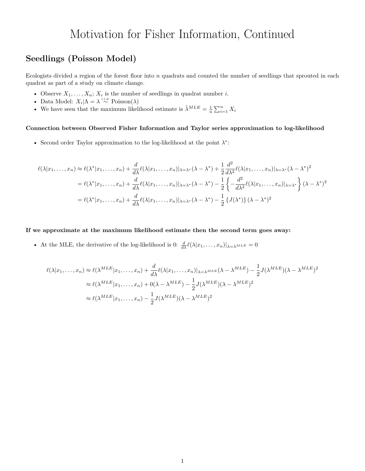## Motivation for Fisher Information, Continued

### **Seedlings (Poisson Model)**

Ecologists divided a region of the forest floor into *n* quadrats and counted the number of seedlings that sprouted in each quadrat as part of a study on climate change.

- Observe  $X_1, \ldots, X_n$ ;  $X_i$  is the number of seedlings in quadrat number *i*.
- Data Model:  $X_i | \Lambda = \lambda \stackrel{\text{i.i.d.}}{\sim} \text{Poisson}(\lambda)$
- We have seen that the maximum likelihood estimate is  $\hat{\lambda}^{MLE} = \frac{1}{n} \sum_{i=1}^{n} X_i$

#### **Connection between Observed Fisher Information and Taylor series approximation to log-likelihood**

• Second order Taylor approximation to the log-likelihood at the point *λ* ∗ :

$$
\ell(\lambda|x_1,\ldots,x_n) \approx \ell(\lambda^*|x_1,\ldots,x_n) + \frac{d}{d\lambda}\ell(\lambda|x_1,\ldots,x_n)|_{\lambda=\lambda^*}(\lambda-\lambda^*) + \frac{1}{2}\frac{d^2}{d\lambda^2}\ell(\lambda|x_1,\ldots,x_n)|_{\lambda=\lambda^*}(\lambda-\lambda^*)^2
$$

$$
= \ell(\lambda^*|x_1,\ldots,x_n) + \frac{d}{d\lambda}\ell(\lambda|x_1,\ldots,x_n)|_{\lambda=\lambda^*}(\lambda-\lambda^*) - \frac{1}{2}\left\{-\frac{d^2}{d\lambda^2}\ell(\lambda|x_1,\ldots,x_n)|_{\lambda=\lambda^*}\right\}(\lambda-\lambda^*)^2
$$

$$
= \ell(\lambda^*|x_1,\ldots,x_n) + \frac{d}{d\lambda}\ell(\lambda|x_1,\ldots,x_n)|_{\lambda=\lambda^*}(\lambda-\lambda^*) - \frac{1}{2}\left\{J(\lambda^*)\right\}(\lambda-\lambda^*)^2
$$

**If we approximate at the maximum likelihood estimate then the second term goes away:**

• At the MLE, the derivative of the log-likelihood is 0:  $\frac{d}{d\lambda} \ell(\lambda | x_1, \dots, x_n)|_{\lambda = \lambda^{MLE}} = 0$ 

$$
\ell(\lambda | x_1, \dots, x_n) \approx \ell(\lambda^{MLE} | x_1, \dots, x_n) + \frac{d}{d\lambda} \ell(\lambda | x_1, \dots, x_n) |_{\lambda = \lambda^{MLE}} (\lambda - \lambda^{MLE}) - \frac{1}{2} J(\lambda^{MLE}) (\lambda - \lambda^{MLE})^2
$$
  

$$
\approx \ell(\lambda^{MLE} | x_1, \dots, x_n) + 0(\lambda - \lambda^{MLE}) - \frac{1}{2} J(\lambda^{MLE}) (\lambda - \lambda^{MLE})^2
$$
  

$$
\approx \ell(\lambda^{MLE} | x_1, \dots, x_n) - \frac{1}{2} J(\lambda^{MLE}) (\lambda - \lambda^{MLE})^2
$$